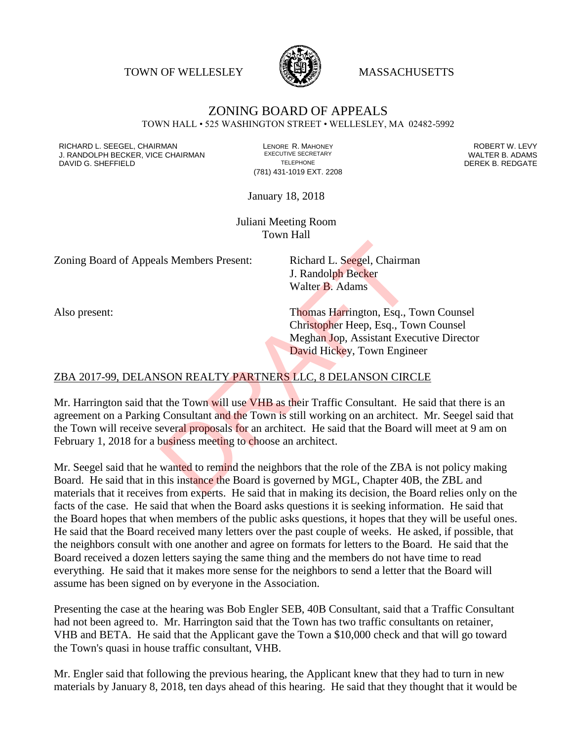TOWN OF WELLESLEY **WASSACHUSETTS** 



## ZONING BOARD OF APPEALS TOWN HALL • 525 WASHINGTON STREET • WELLESLEY, MA 02482-5992

RICHARD L. SEEGEL, CHAIRMAN LENORE R. MAHONEY ROBERT W. LEVY J. RANDOLPH BECKER, VICE CHAIRMAN EXECUTIVE SECRETARY THE SANDOLPH BECKER B. ADAMS<br>DEREK B. REDGATE TELEPHONE THE THE THE SAND DEREK B. REDGATE

(781) 431-1019 EXT. 2208

DEREK B. REDGATE

January 18, 2018

Juliani Meeting Room Town Hall

Zoning Board of Appeals Members Present: Richard L. Seegel, Chairman

J. Randolph Becker Walter B. Adams

Also present: Thomas Harrington, Esq., Town Counsel Christopher Heep, Esq., Town Counsel Meghan Jop, Assistant Executive Director David Hickey, Town Engineer

## ZBA 2017-99, DELANSON REALTY PARTNERS LLC, 8 DELANSON CIRCLE

Mr. Harrington said that the Town will use VHB as their Traffic Consultant. He said that there is an agreement on a Parking Consultant and the Town is still working on an architect. Mr. Seegel said that the Town will receive several proposals for an architect. He said that the Board will meet at 9 am on February 1, 2018 for a business meeting to choose an architect. Is Members Present:<br>
I. Richard L. Seegel, Chairma<br>
J. Randolph Becker<br>
Walter B. Adams<br>
Thomas Harrington, Esq., To<br>
Thomas Harrington, Esq., To<br>
Meghan Jop, Assistant Exec<br>
David Hickey, Town Engin<br>
SON REALTY PARTNERS L

Mr. Seegel said that he wanted to remind the neighbors that the role of the ZBA is not policy making Board. He said that in this instance the Board is governed by MGL, Chapter 40B, the ZBL and materials that it receives from experts. He said that in making its decision, the Board relies only on the facts of the case. He said that when the Board asks questions it is seeking information. He said that the Board hopes that when members of the public asks questions, it hopes that they will be useful ones. He said that the Board received many letters over the past couple of weeks. He asked, if possible, that the neighbors consult with one another and agree on formats for letters to the Board. He said that the Board received a dozen letters saying the same thing and the members do not have time to read everything. He said that it makes more sense for the neighbors to send a letter that the Board will assume has been signed on by everyone in the Association.

Presenting the case at the hearing was Bob Engler SEB, 40B Consultant, said that a Traffic Consultant had not been agreed to. Mr. Harrington said that the Town has two traffic consultants on retainer, VHB and BETA. He said that the Applicant gave the Town a \$10,000 check and that will go toward the Town's quasi in house traffic consultant, VHB.

Mr. Engler said that following the previous hearing, the Applicant knew that they had to turn in new materials by January 8, 2018, ten days ahead of this hearing. He said that they thought that it would be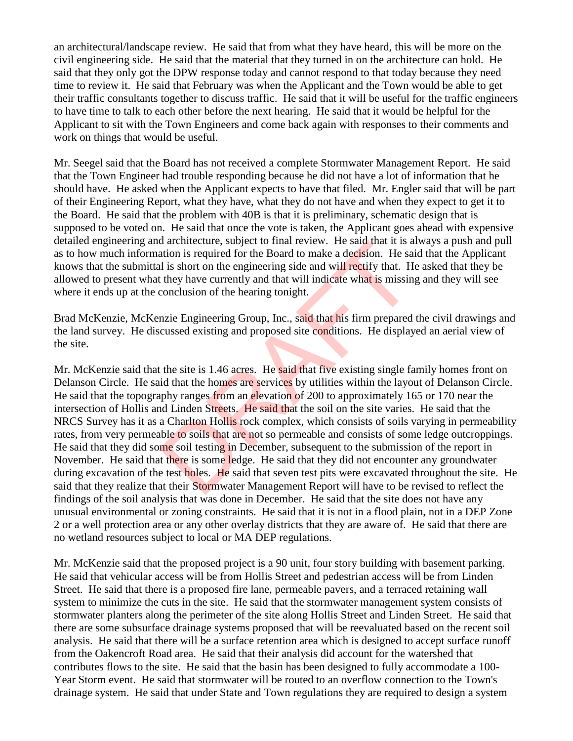an architectural/landscape review. He said that from what they have heard, this will be more on the civil engineering side. He said that the material that they turned in on the architecture can hold. He said that they only got the DPW response today and cannot respond to that today because they need time to review it. He said that February was when the Applicant and the Town would be able to get their traffic consultants together to discuss traffic. He said that it will be useful for the traffic engineers to have time to talk to each other before the next hearing. He said that it would be helpful for the Applicant to sit with the Town Engineers and come back again with responses to their comments and work on things that would be useful.

Mr. Seegel said that the Board has not received a complete Stormwater Management Report. He said that the Town Engineer had trouble responding because he did not have a lot of information that he should have. He asked when the Applicant expects to have that filed. Mr. Engler said that will be part of their Engineering Report, what they have, what they do not have and when they expect to get it to the Board. He said that the problem with 40B is that it is preliminary, schematic design that is supposed to be voted on. He said that once the vote is taken, the Applicant goes ahead with expensive detailed engineering and architecture, subject to final review. He said that it is always a push and pull as to how much information is required for the Board to make a decision. He said that the Applicant knows that the submittal is short on the engineering side and will rectify that. He asked that they be allowed to present what they have currently and that will indicate what is missing and they will see where it ends up at the conclusion of the hearing tonight.

Brad McKenzie, McKenzie Engineering Group, Inc., said that his firm prepared the civil drawings and the land survey. He discussed existing and proposed site conditions. He displayed an aerial view of the site.

Mr. McKenzie said that the site is 1.46 acres. He said that five existing single family homes front on Delanson Circle. He said that the homes are services by utilities within the layout of Delanson Circle. He said that the topography ranges from an elevation of 200 to approximately 165 or 170 near the intersection of Hollis and Linden Streets. He said that the soil on the site varies. He said that the NRCS Survey has it as a Charlton Hollis rock complex, which consists of soils varying in permeability rates, from very permeable to soils that are not so permeable and consists of some ledge outcroppings. He said that they did some soil testing in December, subsequent to the submission of the report in November. He said that there is some ledge. He said that they did not encounter any groundwater during excavation of the test holes. He said that seven test pits were excavated throughout the site. He said that they realize that their Stormwater Management Report will have to be revised to reflect the findings of the soil analysis that was done in December. He said that the site does not have any unusual environmental or zoning constraints. He said that it is not in a flood plain, not in a DEP Zone 2 or a well protection area or any other overlay districts that they are aware of. He said that there are no wetland resources subject to local or MA DEP regulations. a a different control of the Board of mail review. The said that it is a<br>attion is required for the Board to make a decision. He said that it is a<br>it is short on the engineering side and will rectify that. H<br>they have curr

Mr. McKenzie said that the proposed project is a 90 unit, four story building with basement parking. He said that vehicular access will be from Hollis Street and pedestrian access will be from Linden Street. He said that there is a proposed fire lane, permeable pavers, and a terraced retaining wall system to minimize the cuts in the site. He said that the stormwater management system consists of stormwater planters along the perimeter of the site along Hollis Street and Linden Street. He said that there are some subsurface drainage systems proposed that will be reevaluated based on the recent soil analysis. He said that there will be a surface retention area which is designed to accept surface runoff from the Oakencroft Road area. He said that their analysis did account for the watershed that contributes flows to the site. He said that the basin has been designed to fully accommodate a 100- Year Storm event. He said that stormwater will be routed to an overflow connection to the Town's drainage system. He said that under State and Town regulations they are required to design a system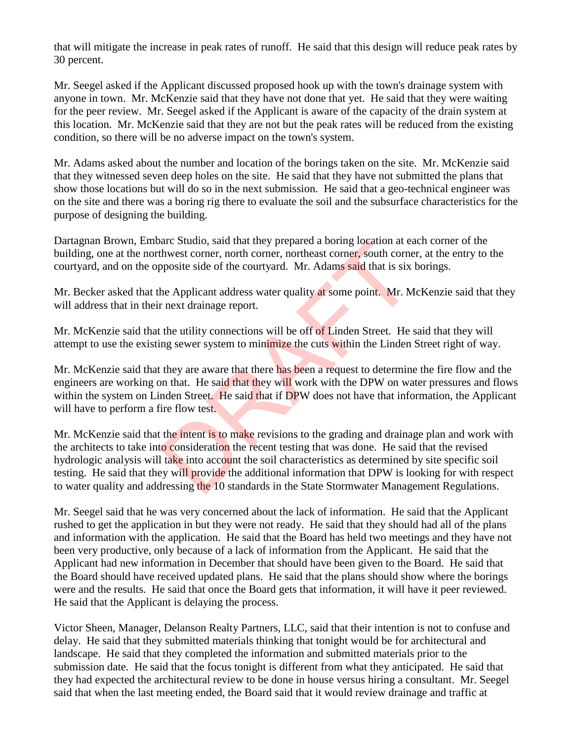that will mitigate the increase in peak rates of runoff. He said that this design will reduce peak rates by 30 percent.

Mr. Seegel asked if the Applicant discussed proposed hook up with the town's drainage system with anyone in town. Mr. McKenzie said that they have not done that yet. He said that they were waiting for the peer review. Mr. Seegel asked if the Applicant is aware of the capacity of the drain system at this location. Mr. McKenzie said that they are not but the peak rates will be reduced from the existing condition, so there will be no adverse impact on the town's system.

Mr. Adams asked about the number and location of the borings taken on the site. Mr. McKenzie said that they witnessed seven deep holes on the site. He said that they have not submitted the plans that show those locations but will do so in the next submission. He said that a geo-technical engineer was on the site and there was a boring rig there to evaluate the soil and the subsurface characteristics for the purpose of designing the building.

Dartagnan Brown, Embarc Studio, said that they prepared a boring location at each corner of the building, one at the northwest corner, north corner, northeast corner, south corner, at the entry to the courtyard, and on the opposite side of the courtyard. Mr. Adams said that is six borings.

Mr. Becker asked that the Applicant address water quality at some point. Mr. McKenzie said that they will address that in their next drainage report.

Mr. McKenzie said that the utility connections will be off of Linden Street. He said that they will attempt to use the existing sewer system to minimize the cuts within the Linden Street right of way.

Mr. McKenzie said that they are aware that there has been a request to determine the fire flow and the engineers are working on that. He said that they will work with the DPW on water pressures and flows within the system on Linden Street. He said that if DPW does not have that information, the Applicant will have to perform a fire flow test.

Mr. McKenzie said that the intent is to make revisions to the grading and drainage plan and work with the architects to take into consideration the recent testing that was done. He said that the revised hydrologic analysis will take into account the soil characteristics as determined by site specific soil testing. He said that they will provide the additional information that DPW is looking for with respect to water quality and addressing the 10 standards in the State Stormwater Management Regulations. arc Sudio, said that they prepared a boring location at each<br>thwest corner, north corner, northeast corner, south corne<br>pposite side of the courtyard. Mr. Adams said that is six<br>he Applicant address water quality at some p

Mr. Seegel said that he was very concerned about the lack of information. He said that the Applicant rushed to get the application in but they were not ready. He said that they should had all of the plans and information with the application. He said that the Board has held two meetings and they have not been very productive, only because of a lack of information from the Applicant. He said that the Applicant had new information in December that should have been given to the Board. He said that the Board should have received updated plans. He said that the plans should show where the borings were and the results. He said that once the Board gets that information, it will have it peer reviewed. He said that the Applicant is delaying the process.

Victor Sheen, Manager, Delanson Realty Partners, LLC, said that their intention is not to confuse and delay. He said that they submitted materials thinking that tonight would be for architectural and landscape. He said that they completed the information and submitted materials prior to the submission date. He said that the focus tonight is different from what they anticipated. He said that they had expected the architectural review to be done in house versus hiring a consultant. Mr. Seegel said that when the last meeting ended, the Board said that it would review drainage and traffic at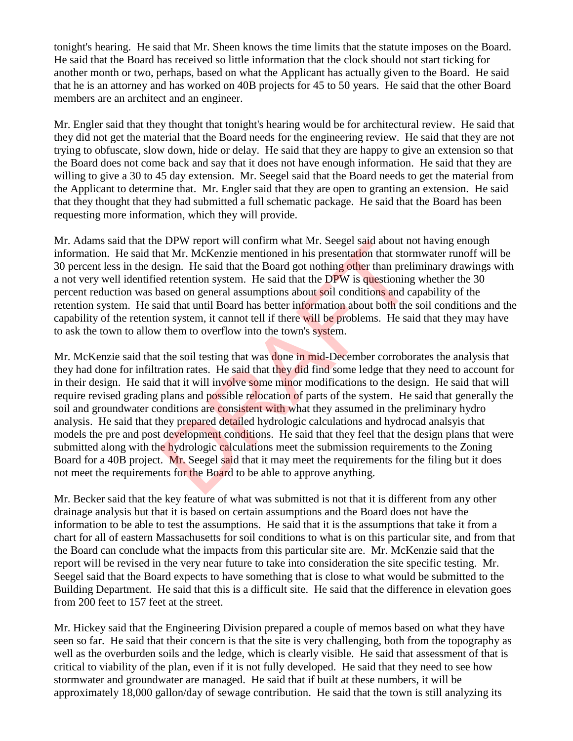tonight's hearing. He said that Mr. Sheen knows the time limits that the statute imposes on the Board. He said that the Board has received so little information that the clock should not start ticking for another month or two, perhaps, based on what the Applicant has actually given to the Board. He said that he is an attorney and has worked on 40B projects for 45 to 50 years. He said that the other Board members are an architect and an engineer.

Mr. Engler said that they thought that tonight's hearing would be for architectural review. He said that they did not get the material that the Board needs for the engineering review. He said that they are not trying to obfuscate, slow down, hide or delay. He said that they are happy to give an extension so that the Board does not come back and say that it does not have enough information. He said that they are willing to give a 30 to 45 day extension. Mr. Seegel said that the Board needs to get the material from the Applicant to determine that. Mr. Engler said that they are open to granting an extension. He said that they thought that they had submitted a full schematic package. He said that the Board has been requesting more information, which they will provide.

Mr. Adams said that the DPW report will confirm what Mr. Seegel said about not having enough information. He said that Mr. McKenzie mentioned in his presentation that stormwater runoff will be 30 percent less in the design. He said that the Board got nothing other than preliminary drawings with a not very well identified retention system. He said that the DPW is questioning whether the 30 percent reduction was based on general assumptions about soil conditions and capability of the retention system. He said that until Board has better information about both the soil conditions and the capability of the retention system, it cannot tell if there will be problems. He said that they may have to ask the town to allow them to overflow into the town's system.

Mr. McKenzie said that the soil testing that was **done in mid-December** corroborates the analysis that they had done for infiltration rates. He said that they did find some ledge that they need to account for in their design. He said that it will involve some minor modifications to the design. He said that will require revised grading plans and possible relocation of parts of the system. He said that generally the soil and groundwater conditions are consistent with what they assumed in the preliminary hydro analysis. He said that they prepared detailed hydrologic calculations and hydrocad analsyis that models the pre and post development conditions. He said that they feel that the design plans that were submitted along with the hydrologic calculations meet the submission requirements to the Zoning Board for a 40B project. Mr. Seegel said that it may meet the requirements for the filing but it does not meet the requirements for the Board to be able to approve anything. B DPW report will continum what Mr. Seegel said about not at Mr. McKenzie mentioned in his presentation that storing other than prelid retention system. He said that the DPW is questioning assed on general assumptions abou

Mr. Becker said that the key feature of what was submitted is not that it is different from any other drainage analysis but that it is based on certain assumptions and the Board does not have the information to be able to test the assumptions. He said that it is the assumptions that take it from a chart for all of eastern Massachusetts for soil conditions to what is on this particular site, and from that the Board can conclude what the impacts from this particular site are. Mr. McKenzie said that the report will be revised in the very near future to take into consideration the site specific testing. Mr. Seegel said that the Board expects to have something that is close to what would be submitted to the Building Department. He said that this is a difficult site. He said that the difference in elevation goes from 200 feet to 157 feet at the street.

Mr. Hickey said that the Engineering Division prepared a couple of memos based on what they have seen so far. He said that their concern is that the site is very challenging, both from the topography as well as the overburden soils and the ledge, which is clearly visible. He said that assessment of that is critical to viability of the plan, even if it is not fully developed. He said that they need to see how stormwater and groundwater are managed. He said that if built at these numbers, it will be approximately 18,000 gallon/day of sewage contribution. He said that the town is still analyzing its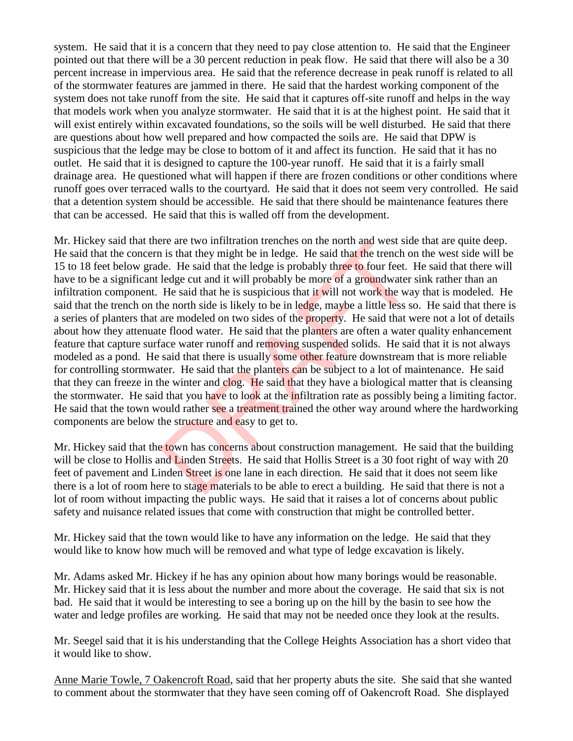system. He said that it is a concern that they need to pay close attention to. He said that the Engineer pointed out that there will be a 30 percent reduction in peak flow. He said that there will also be a 30 percent increase in impervious area. He said that the reference decrease in peak runoff is related to all of the stormwater features are jammed in there. He said that the hardest working component of the system does not take runoff from the site. He said that it captures off-site runoff and helps in the way that models work when you analyze stormwater. He said that it is at the highest point. He said that it will exist entirely within excavated foundations, so the soils will be well disturbed. He said that there are questions about how well prepared and how compacted the soils are. He said that DPW is suspicious that the ledge may be close to bottom of it and affect its function. He said that it has no outlet. He said that it is designed to capture the 100-year runoff. He said that it is a fairly small drainage area. He questioned what will happen if there are frozen conditions or other conditions where runoff goes over terraced walls to the courtyard. He said that it does not seem very controlled. He said that a detention system should be accessible. He said that there should be maintenance features there that can be accessed. He said that this is walled off from the development.

Mr. Hickey said that there are two infiltration trenches on the north and west side that are quite deep. He said that the concern is that they might be in ledge. He said that the trench on the west side will be 15 to 18 feet below grade. He said that the ledge is probably three to four feet. He said that there will have to be a significant ledge cut and it will probably be more of a groundwater sink rather than an infiltration component. He said that he is suspicious that it will not work the way that is modeled. He said that the trench on the north side is likely to be in ledge, maybe a little less so. He said that there is a series of planters that are modeled on two sides of the property. He said that were not a lot of details about how they attenuate flood water. He said that the planters are often a water quality enhancement feature that capture surface water runoff and removing suspended solids. He said that it is not always modeled as a pond. He said that there is usually some other feature downstream that is more reliable for controlling stormwater. He said that the planters can be subject to a lot of maintenance. He said that they can freeze in the winter and clog. He said that they have a biological matter that is cleansing the stormwater. He said that you have to look at the infiltration rate as possibly being a limiting factor. He said that the town would rather see a treatment trained the other way around where the hardworking components are below the structure and easy to get to. Free are two infinited in ledge. He said that the trench of the said that they might be in ledge. He said that the trench of the said that the ledge is probably three to four feet. If ledge cut and it will probably be more

Mr. Hickey said that the town has concerns about construction management. He said that the building will be close to Hollis and Linden Streets. He said that Hollis Street is a 30 foot right of way with 20 feet of pavement and Linden Street is one lane in each direction. He said that it does not seem like there is a lot of room here to stage materials to be able to erect a building. He said that there is not a lot of room without impacting the public ways. He said that it raises a lot of concerns about public safety and nuisance related issues that come with construction that might be controlled better.

Mr. Hickey said that the town would like to have any information on the ledge. He said that they would like to know how much will be removed and what type of ledge excavation is likely.

Mr. Adams asked Mr. Hickey if he has any opinion about how many borings would be reasonable. Mr. Hickey said that it is less about the number and more about the coverage. He said that six is not bad. He said that it would be interesting to see a boring up on the hill by the basin to see how the water and ledge profiles are working. He said that may not be needed once they look at the results.

Mr. Seegel said that it is his understanding that the College Heights Association has a short video that it would like to show.

Anne Marie Towle, 7 Oakencroft Road, said that her property abuts the site. She said that she wanted to comment about the stormwater that they have seen coming off of Oakencroft Road. She displayed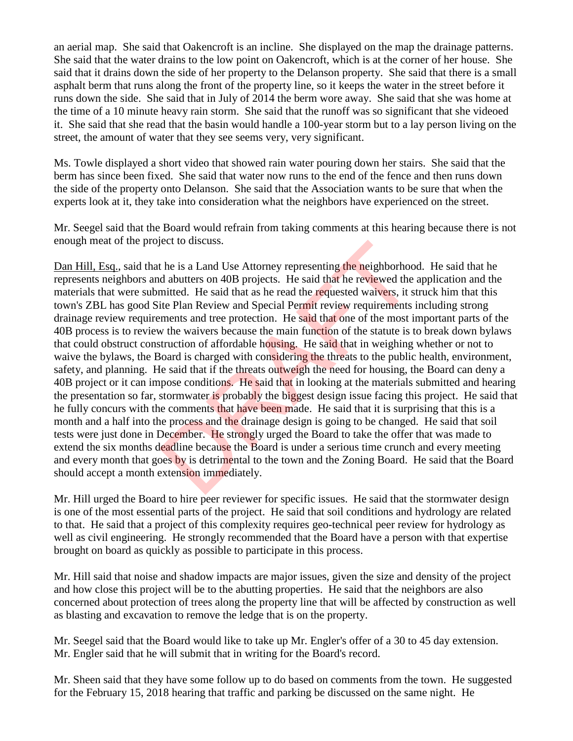an aerial map. She said that Oakencroft is an incline. She displayed on the map the drainage patterns. She said that the water drains to the low point on Oakencroft, which is at the corner of her house. She said that it drains down the side of her property to the Delanson property. She said that there is a small asphalt berm that runs along the front of the property line, so it keeps the water in the street before it runs down the side. She said that in July of 2014 the berm wore away. She said that she was home at the time of a 10 minute heavy rain storm. She said that the runoff was so significant that she videoed it. She said that she read that the basin would handle a 100-year storm but to a lay person living on the street, the amount of water that they see seems very, very significant.

Ms. Towle displayed a short video that showed rain water pouring down her stairs. She said that the berm has since been fixed. She said that water now runs to the end of the fence and then runs down the side of the property onto Delanson. She said that the Association wants to be sure that when the experts look at it, they take into consideration what the neighbors have experienced on the street.

Mr. Seegel said that the Board would refrain from taking comments at this hearing because there is not enough meat of the project to discuss.

Dan Hill, Esq., said that he is a Land Use Attorney representing the neighborhood. He said that he represents neighbors and abutters on 40B projects. He said that he reviewed the application and the materials that were submitted. He said that as he read the requested waivers, it struck him that this town's ZBL has good Site Plan Review and Special Permit review requirements including strong drainage review requirements and tree protection. He said that one of the most important parts of the 40B process is to review the waivers because the main function of the statute is to break down bylaws that could obstruct construction of affordable housing. He said that in weighing whether or not to waive the bylaws, the Board is charged with considering the threats to the public health, environment, safety, and planning. He said that if the threats outweigh the need for housing, the Board can deny a 40B project or it can impose conditions. He said that in looking at the materials submitted and hearing the presentation so far, stormwater is probably the biggest design issue facing this project. He said that he fully concurs with the comments that have been made. He said that it is surprising that this is a month and a half into the process and the drainage design is going to be changed. He said that soil tests were just done in December. He strongly urged the Board to take the offer that was made to extend the six months deadline because the Board is under a serious time crunch and every meeting and every month that goes by is detrimental to the town and the Zoning Board. He said that the Board should accept a month extension immediately. the is a Land Use Attorney representing the neighborhood abutters on 40B projects. He said that he reviewed the mitted. He said that he reviewed the interest with the said that as he read the requested waivers, it set it P

Mr. Hill urged the Board to hire peer reviewer for specific issues. He said that the stormwater design is one of the most essential parts of the project. He said that soil conditions and hydrology are related to that. He said that a project of this complexity requires geo-technical peer review for hydrology as well as civil engineering. He strongly recommended that the Board have a person with that expertise brought on board as quickly as possible to participate in this process.

Mr. Hill said that noise and shadow impacts are major issues, given the size and density of the project and how close this project will be to the abutting properties. He said that the neighbors are also concerned about protection of trees along the property line that will be affected by construction as well as blasting and excavation to remove the ledge that is on the property.

Mr. Seegel said that the Board would like to take up Mr. Engler's offer of a 30 to 45 day extension. Mr. Engler said that he will submit that in writing for the Board's record.

Mr. Sheen said that they have some follow up to do based on comments from the town. He suggested for the February 15, 2018 hearing that traffic and parking be discussed on the same night. He